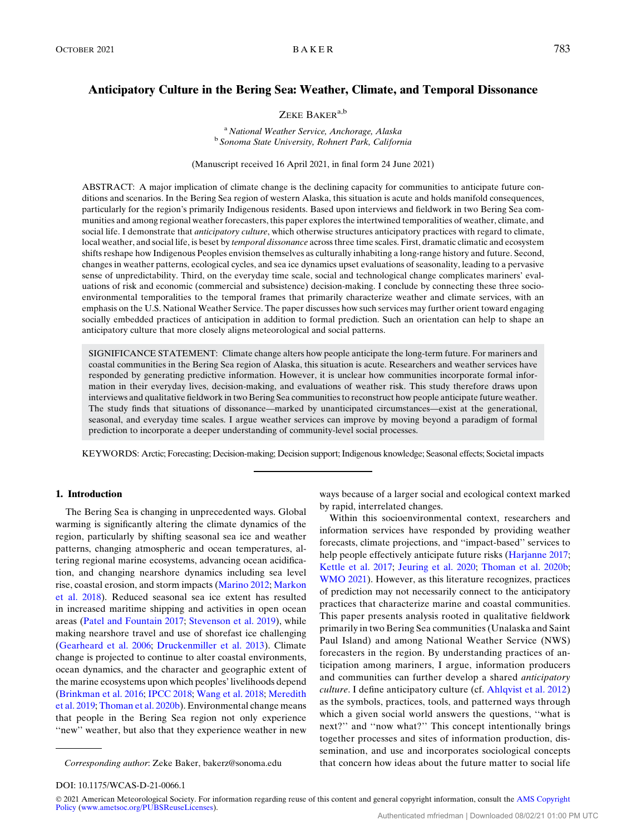# ZEKE BAKER<sup>a,b</sup>

<sup>a</sup> National Weather Service, Anchorage, Alaska<br><sup>b</sup> Sonoma State University, Rohnert Park, California

(Manuscript received 16 April 2021, in final form 24 June 2021)

ABSTRACT: A major implication of climate change is the declining capacity for communities to anticipate future conditions and scenarios. In the Bering Sea region of western Alaska, this situation is acute and holds manifold consequences, particularly for the region's primarily Indigenous residents. Based upon interviews and fieldwork in two Bering Sea communities and among regional weather forecasters, this paper explores the intertwined temporalities of weather, climate, and social life. I demonstrate that *anticipatory culture*, which otherwise structures anticipatory practices with regard to climate, local weather, and social life, is beset by temporal dissonance across three time scales. First, dramatic climatic and ecosystem shifts reshape how Indigenous Peoples envision themselves as culturally inhabiting a long-range history and future. Second, changes in weather patterns, ecological cycles, and sea ice dynamics upset evaluations of seasonality, leading to a pervasive sense of unpredictability. Third, on the everyday time scale, social and technological change complicates mariners' evaluations of risk and economic (commercial and subsistence) decision-making. I conclude by connecting these three socioenvironmental temporalities to the temporal frames that primarily characterize weather and climate services, with an emphasis on the U.S. National Weather Service. The paper discusses how such services may further orient toward engaging socially embedded practices of anticipation in addition to formal prediction. Such an orientation can help to shape an anticipatory culture that more closely aligns meteorological and social patterns.

SIGNIFICANCE STATEMENT: Climate change alters how people anticipate the long-term future. For mariners and coastal communities in the Bering Sea region of Alaska, this situation is acute. Researchers and weather services have responded by generating predictive information. However, it is unclear how communities incorporate formal information in their everyday lives, decision-making, and evaluations of weather risk. This study therefore draws upon interviews and qualitative fieldwork in two Bering Sea communities to reconstruct how people anticipate future weather. The study finds that situations of dissonance—marked by unanticipated circumstances—exist at the generational, seasonal, and everyday time scales. I argue weather services can improve by moving beyond a paradigm of formal prediction to incorporate a deeper understanding of community-level social processes.

KEYWORDS: Arctic; Forecasting; Decision-making; Decision support; Indigenous knowledge; Seasonal effects; Societal impacts

# 1. Introduction

The Bering Sea is changing in unprecedented ways. Global warming is significantly altering the climate dynamics of the region, particularly by shifting seasonal sea ice and weather patterns, changing atmospheric and ocean temperatures, altering regional marine ecosystems, advancing ocean acidification, and changing nearshore dynamics including sea level rise, coastal erosion, and storm impacts ([Marino 2012;](#page-11-0) [Markon](#page-11-1) [et al. 2018\)](#page-11-1). Reduced seasonal sea ice extent has resulted in increased maritime shipping and activities in open ocean areas ([Patel and Fountain 2017](#page-12-0); [Stevenson et al. 2019\)](#page-12-1), while making nearshore travel and use of shorefast ice challenging ([Gearheard et al. 2006;](#page-10-0) [Druckenmiller et al. 2013](#page-10-1)). Climate change is projected to continue to alter coastal environments, ocean dynamics, and the character and geographic extent of the marine ecosystems upon which peoples' livelihoods depend ([Brinkman et al. 2016;](#page-9-0) [IPCC 2018;](#page-11-2) [Wang et al. 2018;](#page-12-2) [Meredith](#page-11-3) [et al. 2019](#page-11-3); [Thoman et al. 2020b\)](#page-12-3). Environmental change means that people in the Bering Sea region not only experience "new" weather, but also that they experience weather in new

ways because of a larger social and ecological context marked by rapid, interrelated changes.

Within this socioenvironmental context, researchers and information services have responded by providing weather forecasts, climate projections, and ''impact-based'' services to help people effectively anticipate future risks ([Harjanne 2017](#page-10-2); [Kettle et al. 2017](#page-11-4); [Jeuring et al. 2020;](#page-11-5) [Thoman et al. 2020b](#page-12-3); [WMO 2021](#page-12-4)). However, as this literature recognizes, practices of prediction may not necessarily connect to the anticipatory practices that characterize marine and coastal communities. This paper presents analysis rooted in qualitative fieldwork primarily in two Bering Sea communities (Unalaska and Saint Paul Island) and among National Weather Service (NWS) forecasters in the region. By understanding practices of anticipation among mariners, I argue, information producers and communities can further develop a shared anticipatory culture. I define anticipatory culture (cf. [Ahlqvist et al. 2012](#page-9-1)) as the symbols, practices, tools, and patterned ways through which a given social world answers the questions, ''what is next?'' and ''now what?'' This concept intentionally brings together processes and sites of information production, dissemination, and use and incorporates sociological concepts Corresponding author: Zeke Baker, [bakerz@sonoma.edu](mailto:bakerz@sonoma.edu) that concern how ideas about the future matter to social life

DOI: 10.1175/WCAS-D-21-0066.1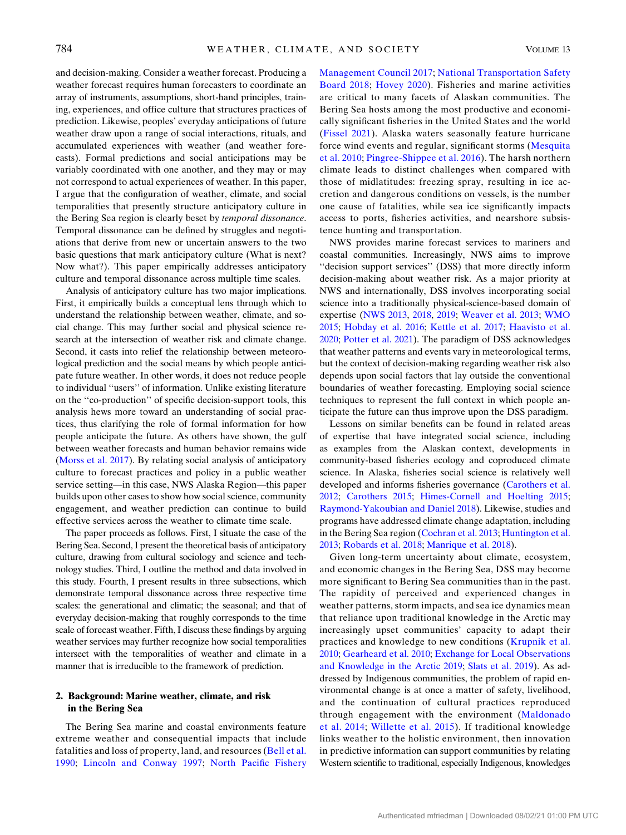and decision-making. Consider a weather forecast. Producing a weather forecast requires human forecasters to coordinate an array of instruments, assumptions, short-hand principles, training, experiences, and office culture that structures practices of prediction. Likewise, peoples' everyday anticipations of future weather draw upon a range of social interactions, rituals, and accumulated experiences with weather (and weather forecasts). Formal predictions and social anticipations may be variably coordinated with one another, and they may or may not correspond to actual experiences of weather. In this paper, I argue that the configuration of weather, climate, and social temporalities that presently structure anticipatory culture in the Bering Sea region is clearly beset by temporal dissonance. Temporal dissonance can be defined by struggles and negotiations that derive from new or uncertain answers to the two basic questions that mark anticipatory culture (What is next? Now what?). This paper empirically addresses anticipatory culture and temporal dissonance across multiple time scales.

Analysis of anticipatory culture has two major implications. First, it empirically builds a conceptual lens through which to understand the relationship between weather, climate, and social change. This may further social and physical science research at the intersection of weather risk and climate change. Second, it casts into relief the relationship between meteorological prediction and the social means by which people anticipate future weather. In other words, it does not reduce people to individual ''users'' of information. Unlike existing literature on the ''co-production'' of specific decision-support tools, this analysis hews more toward an understanding of social practices, thus clarifying the role of formal information for how people anticipate the future. As others have shown, the gulf between weather forecasts and human behavior remains wide ([Morss et al. 2017\)](#page-11-6). By relating social analysis of anticipatory culture to forecast practices and policy in a public weather service setting—in this case, NWS Alaska Region—this paper builds upon other cases to show how social science, community engagement, and weather prediction can continue to build effective services across the weather to climate time scale.

The paper proceeds as follows. First, I situate the case of the Bering Sea. Second, I present the theoretical basis of anticipatory culture, drawing from cultural sociology and science and technology studies. Third, I outline the method and data involved in this study. Fourth, I present results in three subsections, which demonstrate temporal dissonance across three respective time scales: the generational and climatic; the seasonal; and that of everyday decision-making that roughly corresponds to the time scale of forecast weather. Fifth, I discuss these findings by arguing weather services may further recognize how social temporalities intersect with the temporalities of weather and climate in a manner that is irreducible to the framework of prediction.

# 2. Background: Marine weather, climate, and risk in the Bering Sea

The Bering Sea marine and coastal environments feature extreme weather and consequential impacts that include fatalities and loss of property, land, and resources ([Bell et al.](#page-9-2) [1990](#page-9-2); [Lincoln and Conway 1997](#page-11-7); [North Pacific Fishery](#page-11-8) [Management Council 2017](#page-11-8); [National Transportation Safety](#page-11-9) [Board 2018;](#page-11-9) [Hovey 2020\)](#page-10-3). Fisheries and marine activities are critical to many facets of Alaskan communities. The Bering Sea hosts among the most productive and economically significant fisheries in the United States and the world ([Fissel 2021](#page-10-4)). Alaska waters seasonally feature hurricane force wind events and regular, significant storms ([Mesquita](#page-11-10) [et al. 2010;](#page-11-10) [Pingree-Shippee et al. 2016](#page-12-5)). The harsh northern climate leads to distinct challenges when compared with those of midlatitudes: freezing spray, resulting in ice accretion and dangerous conditions on vessels, is the number one cause of fatalities, while sea ice significantly impacts access to ports, fisheries activities, and nearshore subsistence hunting and transportation.

NWS provides marine forecast services to mariners and coastal communities. Increasingly, NWS aims to improve ''decision support services'' (DSS) that more directly inform decision-making about weather risk. As a major priority at NWS and internationally, DSS involves incorporating social science into a traditionally physical-science-based domain of expertise [\(NWS 2013,](#page-11-11) [2018,](#page-12-6) [2019;](#page-12-7) [Weaver et al. 2013](#page-12-8); [WMO](#page-12-9) [2015](#page-12-9); [Hobday et al. 2016](#page-10-5); [Kettle et al. 2017;](#page-11-4) [Haavisto et al.](#page-10-6) [2020](#page-10-6); [Potter et al. 2021](#page-12-10)). The paradigm of DSS acknowledges that weather patterns and events vary in meteorological terms, but the context of decision-making regarding weather risk also depends upon social factors that lay outside the conventional boundaries of weather forecasting. Employing social science techniques to represent the full context in which people anticipate the future can thus improve upon the DSS paradigm.

Lessons on similar benefits can be found in related areas of expertise that have integrated social science, including as examples from the Alaskan context, developments in community-based fisheries ecology and coproduced climate science. In Alaska, fisheries social science is relatively well developed and informs fisheries governance ([Carothers et al.](#page-10-7) [2012](#page-10-7); [Carothers 2015;](#page-9-3) [Himes-Cornell and Hoelting 2015](#page-10-8); [Raymond-Yakoubian and Daniel 2018](#page-12-11)). Likewise, studies and programs have addressed climate change adaptation, including in the Bering Sea region ([Cochran et al. 2013;](#page-10-9) [Huntington et al.](#page-10-10) [2013](#page-10-10); [Robards et al. 2018](#page-12-12); [Manrique et al. 2018\)](#page-11-12).

Given long-term uncertainty about climate, ecosystem, and economic changes in the Bering Sea, DSS may become more significant to Bering Sea communities than in the past. The rapidity of perceived and experienced changes in weather patterns, storm impacts, and sea ice dynamics mean that reliance upon traditional knowledge in the Arctic may increasingly upset communities' capacity to adapt their practices and knowledge to new conditions [\(Krupnik et al.](#page-11-13) [2010](#page-11-13); [Gearheard et al. 2010;](#page-10-11) [Exchange for Local Observations](#page-10-12) [and Knowledge in the Arctic 2019;](#page-10-12) [Slats et al. 2019](#page-12-13)). As addressed by Indigenous communities, the problem of rapid environmental change is at once a matter of safety, livelihood, and the continuation of cultural practices reproduced through engagement with the environment [\(Maldonado](#page-11-14) [et al. 2014;](#page-11-14) [Willette et al. 2015\)](#page-12-14). If traditional knowledge links weather to the holistic environment, then innovation in predictive information can support communities by relating Western scientific to traditional, especially Indigenous, knowledges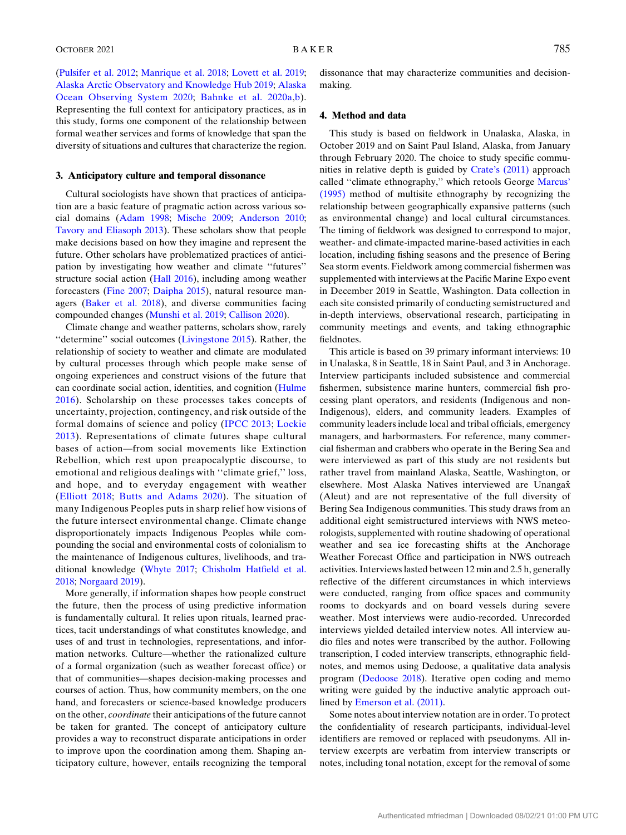([Pulsifer et al. 2012;](#page-12-15) [Manrique et al. 2018](#page-11-12); [Lovett et al. 2019](#page-11-15); [Alaska Arctic Observatory and Knowledge Hub 2019](#page-9-4); [Alaska](#page-9-5) [Ocean Observing System 2020;](#page-9-5) [Bahnke et al. 2020a,](#page-9-6)[b\)](#page-9-7). Representing the full context for anticipatory practices, as in this study, forms one component of the relationship between formal weather services and forms of knowledge that span the diversity of situations and cultures that characterize the region.

### 3. Anticipatory culture and temporal dissonance

Cultural sociologists have shown that practices of anticipation are a basic feature of pragmatic action across various social domains ([Adam 1998](#page-9-8); [Mische 2009](#page-11-16); [Anderson 2010](#page-9-9); [Tavory and Eliasoph 2013](#page-12-16)). These scholars show that people make decisions based on how they imagine and represent the future. Other scholars have problematized practices of anticipation by investigating how weather and climate ''futures'' structure social action ([Hall 2016\)](#page-10-13), including among weather forecasters ([Fine 2007](#page-10-14); [Daipha 2015](#page-10-15)), natural resource managers [\(Baker et al. 2018\)](#page-9-10), and diverse communities facing compounded changes [\(Munshi et al. 2019;](#page-11-17) [Callison 2020\)](#page-9-11).

Climate change and weather patterns, scholars show, rarely ''determine'' social outcomes [\(Livingstone 2015](#page-11-18)). Rather, the relationship of society to weather and climate are modulated by cultural processes through which people make sense of ongoing experiences and construct visions of the future that can coordinate social action, identities, and cognition [\(Hulme](#page-10-16) [2016](#page-10-16)). Scholarship on these processes takes concepts of uncertainty, projection, contingency, and risk outside of the formal domains of science and policy [\(IPCC 2013;](#page-11-19) [Lockie](#page-11-20) [2013](#page-11-20)). Representations of climate futures shape cultural bases of action—from social movements like Extinction Rebellion, which rest upon preapocalyptic discourse, to emotional and religious dealings with ''climate grief,'' loss, and hope, and to everyday engagement with weather ([Elliott 2018](#page-10-17); [Butts and Adams 2020\)](#page-9-12). The situation of many Indigenous Peoples puts in sharp relief how visions of the future intersect environmental change. Climate change disproportionately impacts Indigenous Peoples while compounding the social and environmental costs of colonialism to the maintenance of Indigenous cultures, livelihoods, and traditional knowledge ([Whyte 2017](#page-12-17); [Chisholm Hatfield et al.](#page-10-18) [2018](#page-10-18); [Norgaard 2019](#page-11-21)).

More generally, if information shapes how people construct the future, then the process of using predictive information is fundamentally cultural. It relies upon rituals, learned practices, tacit understandings of what constitutes knowledge, and uses of and trust in technologies, representations, and information networks. Culture—whether the rationalized culture of a formal organization (such as weather forecast office) or that of communities—shapes decision-making processes and courses of action. Thus, how community members, on the one hand, and forecasters or science-based knowledge producers on the other, coordinate their anticipations of the future cannot be taken for granted. The concept of anticipatory culture provides a way to reconstruct disparate anticipations in order to improve upon the coordination among them. Shaping anticipatory culture, however, entails recognizing the temporal dissonance that may characterize communities and decisionmaking.

#### 4. Method and data

This study is based on fieldwork in Unalaska, Alaska, in October 2019 and on Saint Paul Island, Alaska, from January through February 2020. The choice to study specific communities in relative depth is guided by [Crate's \(2011\)](#page-10-19) approach called ''climate ethnography,'' which retools George [Marcus'](#page-11-22) [\(1995\)](#page-11-22) method of multisite ethnography by recognizing the relationship between geographically expansive patterns (such as environmental change) and local cultural circumstances. The timing of fieldwork was designed to correspond to major, weather- and climate-impacted marine-based activities in each location, including fishing seasons and the presence of Bering Sea storm events. Fieldwork among commercial fishermen was supplemented with interviews at the Pacific Marine Expo event in December 2019 in Seattle, Washington. Data collection in each site consisted primarily of conducting semistructured and in-depth interviews, observational research, participating in community meetings and events, and taking ethnographic fieldnotes.

This article is based on 39 primary informant interviews: 10 in Unalaska, 8 in Seattle, 18 in Saint Paul, and 3 in Anchorage. Interview participants included subsistence and commercial fishermen, subsistence marine hunters, commercial fish processing plant operators, and residents (Indigenous and non-Indigenous), elders, and community leaders. Examples of community leaders include local and tribal officials, emergency managers, and harbormasters. For reference, many commercial fisherman and crabbers who operate in the Bering Sea and were interviewed as part of this study are not residents but rather travel from mainland Alaska, Seattle, Washington, or elsewhere. Most Alaska Natives interviewed are Unangax̂ (Aleut) and are not representative of the full diversity of Bering Sea Indigenous communities. This study draws from an additional eight semistructured interviews with NWS meteorologists, supplemented with routine shadowing of operational weather and sea ice forecasting shifts at the Anchorage Weather Forecast Office and participation in NWS outreach activities. Interviews lasted between 12 min and 2.5 h, generally reflective of the different circumstances in which interviews were conducted, ranging from office spaces and community rooms to dockyards and on board vessels during severe weather. Most interviews were audio-recorded. Unrecorded interviews yielded detailed interview notes. All interview audio files and notes were transcribed by the author. Following transcription, I coded interview transcripts, ethnographic fieldnotes, and memos using Dedoose, a qualitative data analysis program ([Dedoose 2018](#page-10-20)). Iterative open coding and memo writing were guided by the inductive analytic approach outlined by [Emerson et al. \(2011\)](#page-10-21).

Some notes about interview notation are in order. To protect the confidentiality of research participants, individual-level identifiers are removed or replaced with pseudonyms. All interview excerpts are verbatim from interview transcripts or notes, including tonal notation, except for the removal of some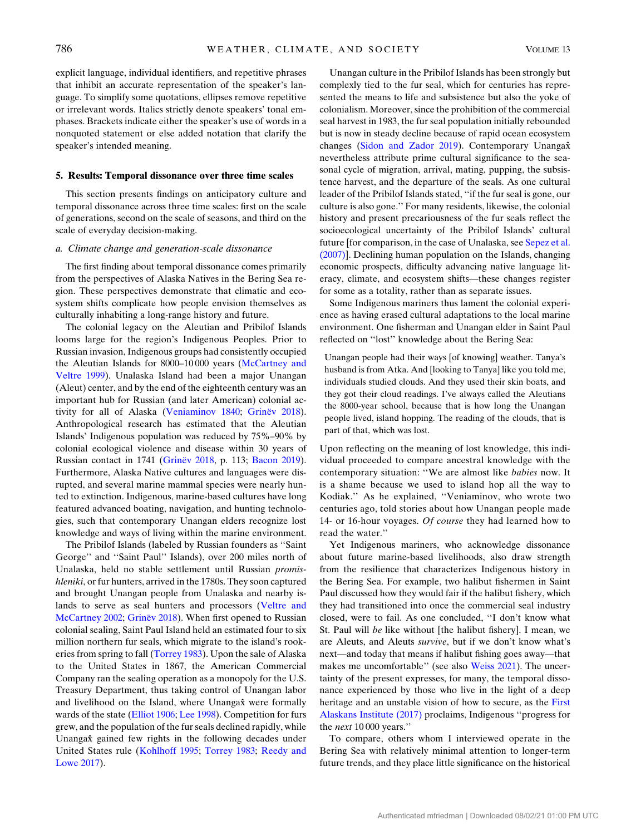explicit language, individual identifiers, and repetitive phrases that inhibit an accurate representation of the speaker's language. To simplify some quotations, ellipses remove repetitive or irrelevant words. Italics strictly denote speakers' tonal emphases. Brackets indicate either the speaker's use of words in a nonquoted statement or else added notation that clarify the speaker's intended meaning.

#### 5. Results: Temporal dissonance over three time scales

This section presents findings on anticipatory culture and temporal dissonance across three time scales: first on the scale of generations, second on the scale of seasons, and third on the scale of everyday decision-making.

### a. Climate change and generation-scale dissonance

The first finding about temporal dissonance comes primarily from the perspectives of Alaska Natives in the Bering Sea region. These perspectives demonstrate that climatic and ecosystem shifts complicate how people envision themselves as culturally inhabiting a long-range history and future.

The colonial legacy on the Aleutian and Pribilof Islands looms large for the region's Indigenous Peoples. Prior to Russian invasion, Indigenous groups had consistently occupied the Aleutian Islands for 8000–10 000 years ([McCartney and](#page-11-23) [Veltre 1999](#page-11-23)). Unalaska Island had been a major Unangan (Aleut) center, and by the end of the eighteenth century was an important hub for Russian (and later American) colonial activity for all of Alaska [\(Veniaminov 1840](#page-12-18); Grinë[v 2018](#page-10-22)). Anthropological research has estimated that the Aleutian Islands' Indigenous population was reduced by 75%–90% by colonial ecological violence and disease within 30 years of Russian contact in 1741 (Grinë[v 2018,](#page-10-22) p. 113; [Bacon 2019](#page-9-13)). Furthermore, Alaska Native cultures and languages were disrupted, and several marine mammal species were nearly hunted to extinction. Indigenous, marine-based cultures have long featured advanced boating, navigation, and hunting technologies, such that contemporary Unangan elders recognize lost knowledge and ways of living within the marine environment.

The Pribilof Islands (labeled by Russian founders as ''Saint George'' and ''Saint Paul'' Islands), over 200 miles north of Unalaska, held no stable settlement until Russian promishleniki, or fur hunters, arrived in the 1780s. They soon captured and brought Unangan people from Unalaska and nearby islands to serve as seal hunters and processors ([Veltre and](#page-12-19) [McCartney 2002](#page-12-19); Grinë[v 2018\)](#page-10-22). When first opened to Russian colonial sealing, Saint Paul Island held an estimated four to six million northern fur seals, which migrate to the island's rookeries from spring to fall [\(Torrey 1983](#page-12-20)). Upon the sale of Alaska to the United States in 1867, the American Commercial Company ran the sealing operation as a monopoly for the U.S. Treasury Department, thus taking control of Unangan labor and livelihood on the Island, where Unangax were formally wards of the state [\(Elliot 1906;](#page-10-23) [Lee 1998](#page-11-24)). Competition for furs grew, and the population of the fur seals declined rapidly, while Unangax̂ gained few rights in the following decades under United States rule [\(Kohlhoff 1995;](#page-11-25) [Torrey 1983](#page-12-20); [Reedy and](#page-12-21) [Lowe 2017](#page-12-21)).

Unangan culture in the Pribilof Islands has been strongly but complexly tied to the fur seal, which for centuries has represented the means to life and subsistence but also the yoke of colonialism. Moreover, since the prohibition of the commercial seal harvest in 1983, the fur seal population initially rebounded but is now in steady decline because of rapid ocean ecosystem changes [\(Sidon and Zador 2019\)](#page-12-22). Contemporary Unangax̂ nevertheless attribute prime cultural significance to the seasonal cycle of migration, arrival, mating, pupping, the subsistence harvest, and the departure of the seals. As one cultural leader of the Pribilof Islands stated, ''if the fur seal is gone, our culture is also gone.'' For many residents, likewise, the colonial history and present precariousness of the fur seals reflect the socioecological uncertainty of the Pribilof Islands' cultural future [for comparison, in the case of Unalaska, see [Sepez et al.](#page-12-23) [\(2007\)\]](#page-12-23). Declining human population on the Islands, changing economic prospects, difficulty advancing native language literacy, climate, and ecosystem shifts—these changes register for some as a totality, rather than as separate issues.

Some Indigenous mariners thus lament the colonial experience as having erased cultural adaptations to the local marine environment. One fisherman and Unangan elder in Saint Paul reflected on ''lost'' knowledge about the Bering Sea:

Unangan people had their ways [of knowing] weather. Tanya's husband is from Atka. And [looking to Tanya] like you told me, individuals studied clouds. And they used their skin boats, and they got their cloud readings. I've always called the Aleutians the 8000-year school, because that is how long the Unangan people lived, island hopping. The reading of the clouds, that is part of that, which was lost.

Upon reflecting on the meaning of lost knowledge, this individual proceeded to compare ancestral knowledge with the contemporary situation: ''We are almost like babies now. It is a shame because we used to island hop all the way to Kodiak.'' As he explained, ''Veniaminov, who wrote two centuries ago, told stories about how Unangan people made 14- or 16-hour voyages. Of course they had learned how to read the water.''

Yet Indigenous mariners, who acknowledge dissonance about future marine-based livelihoods, also draw strength from the resilience that characterizes Indigenous history in the Bering Sea. For example, two halibut fishermen in Saint Paul discussed how they would fair if the halibut fishery, which they had transitioned into once the commercial seal industry closed, were to fail. As one concluded, ''I don't know what St. Paul will be like without [the halibut fishery]. I mean, we are Aleuts, and Aleuts survive, but if we don't know what's next—and today that means if halibut fishing goes away—that makes me uncomfortable'' (see also [Weiss 2021\)](#page-12-24). The uncertainty of the present expresses, for many, the temporal dissonance experienced by those who live in the light of a deep heritage and an unstable vision of how to secure, as the [First](#page-10-24) [Alaskans Institute \(2017\)](#page-10-24) proclaims, Indigenous ''progress for the next 10 000 years.''

To compare, others whom I interviewed operate in the Bering Sea with relatively minimal attention to longer-term future trends, and they place little significance on the historical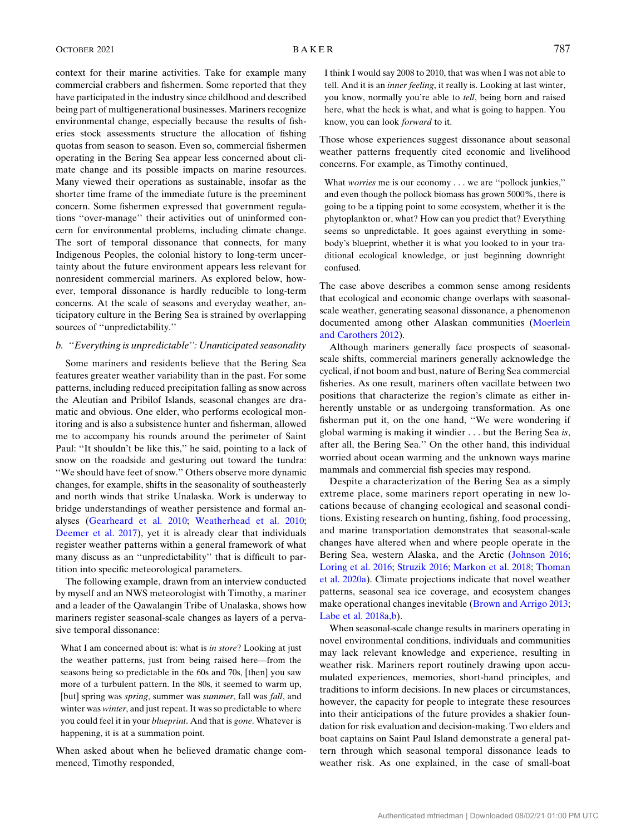context for their marine activities. Take for example many commercial crabbers and fishermen. Some reported that they have participated in the industry since childhood and described being part of multigenerational businesses. Mariners recognize environmental change, especially because the results of fisheries stock assessments structure the allocation of fishing quotas from season to season. Even so, commercial fishermen operating in the Bering Sea appear less concerned about climate change and its possible impacts on marine resources. Many viewed their operations as sustainable, insofar as the shorter time frame of the immediate future is the preeminent concern. Some fishermen expressed that government regulations ''over-manage'' their activities out of uninformed concern for environmental problems, including climate change. The sort of temporal dissonance that connects, for many Indigenous Peoples, the colonial history to long-term uncertainty about the future environment appears less relevant for nonresident commercial mariners. As explored below, however, temporal dissonance is hardly reducible to long-term concerns. At the scale of seasons and everyday weather, anticipatory culture in the Bering Sea is strained by overlapping sources of ''unpredictability.''

### b. ''Everything is unpredictable'': Unanticipated seasonality

Some mariners and residents believe that the Bering Sea features greater weather variability than in the past. For some patterns, including reduced precipitation falling as snow across the Aleutian and Pribilof Islands, seasonal changes are dramatic and obvious. One elder, who performs ecological monitoring and is also a subsistence hunter and fisherman, allowed me to accompany his rounds around the perimeter of Saint Paul: ''It shouldn't be like this,'' he said, pointing to a lack of snow on the roadside and gesturing out toward the tundra: ''We should have feet of snow.'' Others observe more dynamic changes, for example, shifts in the seasonality of southeasterly and north winds that strike Unalaska. Work is underway to bridge understandings of weather persistence and formal analyses ([Gearheard et al. 2010](#page-10-11); [Weatherhead et al. 2010](#page-12-25); [Deemer et al. 2017](#page-10-25)), yet it is already clear that individuals register weather patterns within a general framework of what many discuss as an ''unpredictability'' that is difficult to partition into specific meteorological parameters.

The following example, drawn from an interview conducted by myself and an NWS meteorologist with Timothy, a mariner and a leader of the Qawalangin Tribe of Unalaska, shows how mariners register seasonal-scale changes as layers of a pervasive temporal dissonance:

What I am concerned about is: what is in store? Looking at just the weather patterns, just from being raised here—from the seasons being so predictable in the 60s and 70s, [then] you saw more of a turbulent pattern. In the 80s, it seemed to warm up, [but] spring was spring, summer was summer, fall was fall, and winter was winter, and just repeat. It was so predictable to where you could feel it in your *blueprint*. And that is *gone*. Whatever is happening, it is at a summation point.

When asked about when he believed dramatic change commenced, Timothy responded,

I think I would say 2008 to 2010, that was when I was not able to tell. And it is an inner feeling, it really is. Looking at last winter, you know, normally you're able to tell, being born and raised here, what the heck is what, and what is going to happen. You know, you can look forward to it.

Those whose experiences suggest dissonance about seasonal weather patterns frequently cited economic and livelihood concerns. For example, as Timothy continued,

What worries me is our economy . . . we are ''pollock junkies,'' and even though the pollock biomass has grown 5000%, there is going to be a tipping point to some ecosystem, whether it is the phytoplankton or, what? How can you predict that? Everything seems so unpredictable. It goes against everything in somebody's blueprint, whether it is what you looked to in your traditional ecological knowledge, or just beginning downright confused.

The case above describes a common sense among residents that ecological and economic change overlaps with seasonalscale weather, generating seasonal dissonance, a phenomenon documented among other Alaskan communities ([Moerlein](#page-11-26) [and Carothers 2012](#page-11-26)).

Although mariners generally face prospects of seasonalscale shifts, commercial mariners generally acknowledge the cyclical, if not boom and bust, nature of Bering Sea commercial fisheries. As one result, mariners often vacillate between two positions that characterize the region's climate as either inherently unstable or as undergoing transformation. As one fisherman put it, on the one hand, ''We were wondering if global warming is making it windier . . . but the Bering Sea is, after all, the Bering Sea.'' On the other hand, this individual worried about ocean warming and the unknown ways marine mammals and commercial fish species may respond.

Despite a characterization of the Bering Sea as a simply extreme place, some mariners report operating in new locations because of changing ecological and seasonal conditions. Existing research on hunting, fishing, food processing, and marine transportation demonstrates that seasonal-scale changes have altered when and where people operate in the Bering Sea, western Alaska, and the Arctic [\(Johnson 2016](#page-11-27); [Loring et al. 2016](#page-11-28); [Struzik 2016;](#page-12-26) [Markon et al. 2018;](#page-11-1) [Thoman](#page-12-27) [et al. 2020a\)](#page-12-27). Climate projections indicate that novel weather patterns, seasonal sea ice coverage, and ecosystem changes make operational changes inevitable [\(Brown and Arrigo 2013](#page-9-14); [Labe et al. 2018a](#page-11-29)[,b](#page-11-30)).

When seasonal-scale change results in mariners operating in novel environmental conditions, individuals and communities may lack relevant knowledge and experience, resulting in weather risk. Mariners report routinely drawing upon accumulated experiences, memories, short-hand principles, and traditions to inform decisions. In new places or circumstances, however, the capacity for people to integrate these resources into their anticipations of the future provides a shakier foundation for risk evaluation and decision-making. Two elders and boat captains on Saint Paul Island demonstrate a general pattern through which seasonal temporal dissonance leads to weather risk. As one explained, in the case of small-boat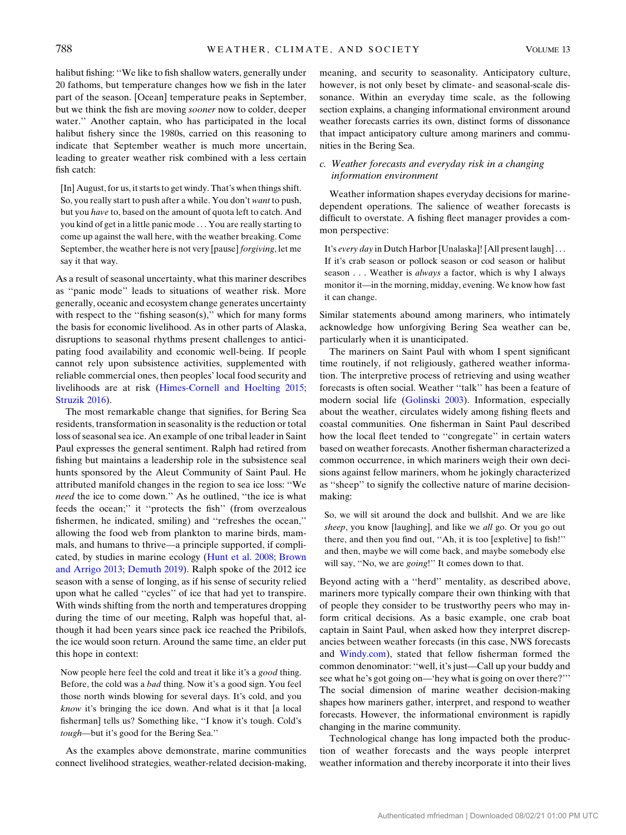halibut fishing: ''We like to fish shallow waters, generally under 20 fathoms, but temperature changes how we fish in the later part of the season. [Ocean] temperature peaks in September, but we think the fish are moving sooner now to colder, deeper water.'' Another captain, who has participated in the local halibut fishery since the 1980s, carried on this reasoning to indicate that September weather is much more uncertain, leading to greater weather risk combined with a less certain fish catch:

[In] August, for us, it starts to get windy. That's when things shift. So, you really start to push after a while. You don't want to push, but you have to, based on the amount of quota left to catch. And you kind of get in a little panic mode . . . You are really starting to come up against the wall here, with the weather breaking. Come September, the weather here is not very [pause] forgiving, let me say it that way.

As a result of seasonal uncertainty, what this mariner describes as ''panic mode'' leads to situations of weather risk. More generally, oceanic and ecosystem change generates uncertainty with respect to the "fishing season(s)," which for many forms the basis for economic livelihood. As in other parts of Alaska, disruptions to seasonal rhythms present challenges to anticipating food availability and economic well-being. If people cannot rely upon subsistence activities, supplemented with reliable commercial ones, then peoples' local food security and livelihoods are at risk [\(Himes-Cornell and Hoelting 2015](#page-10-8); [Struzik 2016\)](#page-12-26).

The most remarkable change that signifies, for Bering Sea residents, transformation in seasonality is the reduction or total loss of seasonal sea ice. An example of one tribal leader in Saint Paul expresses the general sentiment. Ralph had retired from fishing but maintains a leadership role in the subsistence seal hunts sponsored by the Aleut Community of Saint Paul. He attributed manifold changes in the region to sea ice loss: ''We need the ice to come down.'' As he outlined, ''the ice is what feeds the ocean;'' it ''protects the fish'' (from overzealous fishermen, he indicated, smiling) and ''refreshes the ocean,'' allowing the food web from plankton to marine birds, mammals, and humans to thrive—a principle supported, if complicated, by studies in marine ecology ([Hunt et al. 2008;](#page-10-26) [Brown](#page-9-14) [and Arrigo 2013](#page-9-14); [Demuth 2019\)](#page-10-27). Ralph spoke of the 2012 ice season with a sense of longing, as if his sense of security relied upon what he called ''cycles'' of ice that had yet to transpire. With winds shifting from the north and temperatures dropping during the time of our meeting, Ralph was hopeful that, although it had been years since pack ice reached the Pribilofs, the ice would soon return. Around the same time, an elder put this hope in context:

Now people here feel the cold and treat it like it's a good thing. Before, the cold was a bad thing. Now it's a good sign. You feel those north winds blowing for several days. It's cold, and you know it's bringing the ice down. And what is it that [a local fisherman] tells us? Something like, ''I know it's tough. Cold's tough—but it's good for the Bering Sea.''

As the examples above demonstrate, marine communities connect livelihood strategies, weather-related decision-making,

meaning, and security to seasonality. Anticipatory culture, however, is not only beset by climate- and seasonal-scale dissonance. Within an everyday time scale, as the following section explains, a changing informational environment around weather forecasts carries its own, distinct forms of dissonance that impact anticipatory culture among mariners and communities in the Bering Sea.

## c. Weather forecasts and everyday risk in a changing information environment

Weather information shapes everyday decisions for marinedependent operations. The salience of weather forecasts is difficult to overstate. A fishing fleet manager provides a common perspective:

It's every day in Dutch Harbor [Unalaska]! [All present laugh]... If it's crab season or pollock season or cod season or halibut season . . . Weather is *always* a factor, which is why I always monitor it—in the morning, midday, evening. We know how fast it can change.

Similar statements abound among mariners, who intimately acknowledge how unforgiving Bering Sea weather can be, particularly when it is unanticipated.

The mariners on Saint Paul with whom I spent significant time routinely, if not religiously, gathered weather information. The interpretive process of retrieving and using weather forecasts is often social. Weather ''talk'' has been a feature of modern social life [\(Golinski 2003\)](#page-10-28). Information, especially about the weather, circulates widely among fishing fleets and coastal communities. One fisherman in Saint Paul described how the local fleet tended to ''congregate'' in certain waters based on weather forecasts. Another fisherman characterized a common occurrence, in which mariners weigh their own decisions against fellow mariners, whom he jokingly characterized as ''sheep'' to signify the collective nature of marine decisionmaking:

So, we will sit around the dock and bullshit. And we are like sheep, you know [laughing], and like we all go. Or you go out there, and then you find out, ''Ah, it is too [expletive] to fish!'' and then, maybe we will come back, and maybe somebody else will say, "No, we are *going*!" It comes down to that.

Beyond acting with a ''herd'' mentality, as described above, mariners more typically compare their own thinking with that of people they consider to be trustworthy peers who may inform critical decisions. As a basic example, one crab boat captain in Saint Paul, when asked how they interpret discrepancies between weather forecasts (in this case, NWS forecasts and [Windy.com\)](http://Windy.com), stated that fellow fisherman formed the common denominator: ''well, it's just—Call up your buddy and see what he's got going on—'hey what is going on over there?''' The social dimension of marine weather decision-making shapes how mariners gather, interpret, and respond to weather forecasts. However, the informational environment is rapidly changing in the marine community.

Technological change has long impacted both the production of weather forecasts and the ways people interpret weather information and thereby incorporate it into their lives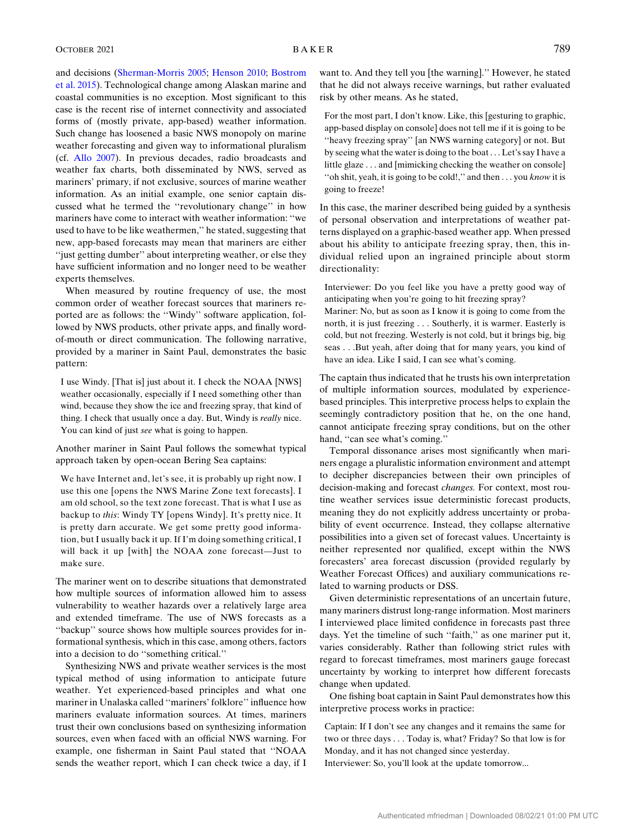and decisions ([Sherman-Morris 2005;](#page-12-28) [Henson 2010;](#page-10-29) [Bostrom](#page-9-15) [et al. 2015](#page-9-15)). Technological change among Alaskan marine and coastal communities is no exception. Most significant to this case is the recent rise of internet connectivity and associated forms of (mostly private, app-based) weather information. Such change has loosened a basic NWS monopoly on marine weather forecasting and given way to informational pluralism (cf. [Allo 2007](#page-9-16)). In previous decades, radio broadcasts and weather fax charts, both disseminated by NWS, served as mariners' primary, if not exclusive, sources of marine weather information. As an initial example, one senior captain discussed what he termed the ''revolutionary change'' in how mariners have come to interact with weather information: ''we used to have to be like weathermen,'' he stated, suggesting that new, app-based forecasts may mean that mariners are either "just getting dumber" about interpreting weather, or else they have sufficient information and no longer need to be weather experts themselves.

When measured by routine frequency of use, the most common order of weather forecast sources that mariners reported are as follows: the ''Windy'' software application, followed by NWS products, other private apps, and finally wordof-mouth or direct communication. The following narrative, provided by a mariner in Saint Paul, demonstrates the basic pattern:

I use Windy. [That is] just about it. I check the NOAA [NWS] weather occasionally, especially if I need something other than wind, because they show the ice and freezing spray, that kind of thing. I check that usually once a day. But, Windy is really nice. You can kind of just see what is going to happen.

Another mariner in Saint Paul follows the somewhat typical approach taken by open-ocean Bering Sea captains:

We have Internet and, let's see, it is probably up right now. I use this one [opens the NWS Marine Zone text forecasts]. I am old school, so the text zone forecast. That is what I use as backup to this: Windy TY [opens Windy]. It's pretty nice. It is pretty darn accurate. We get some pretty good information, but I usually back it up. If I'm doing something critical, I will back it up [with] the NOAA zone forecast—Just to make sure.

The mariner went on to describe situations that demonstrated how multiple sources of information allowed him to assess vulnerability to weather hazards over a relatively large area and extended timeframe. The use of NWS forecasts as a ''backup'' source shows how multiple sources provides for informational synthesis, which in this case, among others, factors into a decision to do ''something critical.''

Synthesizing NWS and private weather services is the most typical method of using information to anticipate future weather. Yet experienced-based principles and what one mariner in Unalaska called ''mariners' folklore'' influence how mariners evaluate information sources. At times, mariners trust their own conclusions based on synthesizing information sources, even when faced with an official NWS warning. For example, one fisherman in Saint Paul stated that ''NOAA sends the weather report, which I can check twice a day, if I want to. And they tell you [the warning].'' However, he stated that he did not always receive warnings, but rather evaluated risk by other means. As he stated,

For the most part, I don't know. Like, this [gesturing to graphic, app-based display on console] does not tell me if it is going to be ''heavy freezing spray'' [an NWS warning category] or not. But by seeing what the water is doing to the boat . . . Let's say I have a little glaze . . . and [mimicking checking the weather on console] ''oh shit, yeah, it is going to be cold!,'' and then . . . you know it is going to freeze!

In this case, the mariner described being guided by a synthesis of personal observation and interpretations of weather patterns displayed on a graphic-based weather app. When pressed about his ability to anticipate freezing spray, then, this individual relied upon an ingrained principle about storm directionality:

Interviewer: Do you feel like you have a pretty good way of anticipating when you're going to hit freezing spray? Mariner: No, but as soon as I know it is going to come from the north, it is just freezing . . . Southerly, it is warmer. Easterly is cold, but not freezing. Westerly is not cold, but it brings big, big seas . . .But yeah, after doing that for many years, you kind of have an idea. Like I said, I can see what's coming.

The captain thus indicated that he trusts his own interpretation of multiple information sources, modulated by experiencebased principles. This interpretive process helps to explain the seemingly contradictory position that he, on the one hand, cannot anticipate freezing spray conditions, but on the other hand, "can see what's coming."

Temporal dissonance arises most significantly when mariners engage a pluralistic information environment and attempt to decipher discrepancies between their own principles of decision-making and forecast changes. For context, most routine weather services issue deterministic forecast products, meaning they do not explicitly address uncertainty or probability of event occurrence. Instead, they collapse alternative possibilities into a given set of forecast values. Uncertainty is neither represented nor qualified, except within the NWS forecasters' area forecast discussion (provided regularly by Weather Forecast Offices) and auxiliary communications related to warning products or DSS.

Given deterministic representations of an uncertain future, many mariners distrust long-range information. Most mariners I interviewed place limited confidence in forecasts past three days. Yet the timeline of such ''faith,'' as one mariner put it, varies considerably. Rather than following strict rules with regard to forecast timeframes, most mariners gauge forecast uncertainty by working to interpret how different forecasts change when updated.

One fishing boat captain in Saint Paul demonstrates how this interpretive process works in practice:

Captain: If I don't see any changes and it remains the same for two or three days . . . Today is, what? Friday? So that low is for Monday, and it has not changed since yesterday.

Interviewer: So, you'll look at the update tomorrow...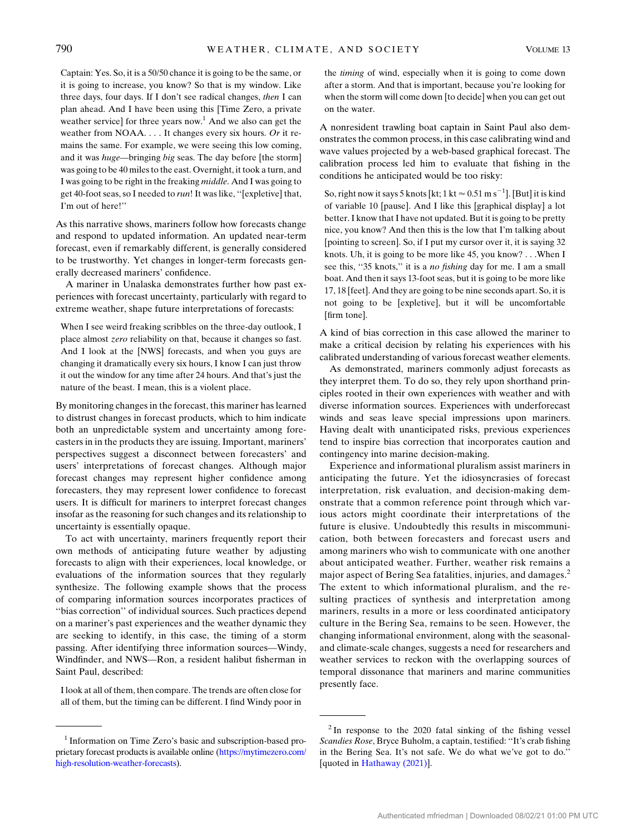Captain: Yes. So, it is a 50/50 chance it is going to be the same, or it is going to increase, you know? So that is my window. Like three days, four days. If I don't see radical changes, then I can plan ahead. And I have been using this [Time Zero, a private weather service] for three years now.<sup>1</sup> And we also can get the weather from NOAA. . . . It changes every six hours. Or it remains the same. For example, we were seeing this low coming, and it was huge—bringing big seas. The day before [the storm] was going to be 40 miles to the east. Overnight, it took a turn, and I was going to be right in the freaking middle. And I was going to get 40-foot seas, so I needed to run! It was like, ''[expletive] that, I'm out of here!''

As this narrative shows, mariners follow how forecasts change and respond to updated information. An updated near-term forecast, even if remarkably different, is generally considered to be trustworthy. Yet changes in longer-term forecasts generally decreased mariners' confidence.

A mariner in Unalaska demonstrates further how past experiences with forecast uncertainty, particularly with regard to extreme weather, shape future interpretations of forecasts:

When I see weird freaking scribbles on the three-day outlook, I place almost zero reliability on that, because it changes so fast. And I look at the [NWS] forecasts, and when you guys are changing it dramatically every six hours, I know I can just throw it out the window for any time after 24 hours. And that's just the nature of the beast. I mean, this is a violent place.

By monitoring changes in the forecast, this mariner has learned to distrust changes in forecast products, which to him indicate both an unpredictable system and uncertainty among forecasters in in the products they are issuing. Important, mariners' perspectives suggest a disconnect between forecasters' and users' interpretations of forecast changes. Although major forecast changes may represent higher confidence among forecasters, they may represent lower confidence to forecast users. It is difficult for mariners to interpret forecast changes insofar as the reasoning for such changes and its relationship to uncertainty is essentially opaque.

To act with uncertainty, mariners frequently report their own methods of anticipating future weather by adjusting forecasts to align with their experiences, local knowledge, or evaluations of the information sources that they regularly synthesize. The following example shows that the process of comparing information sources incorporates practices of ''bias correction'' of individual sources. Such practices depend on a mariner's past experiences and the weather dynamic they are seeking to identify, in this case, the timing of a storm passing. After identifying three information sources—Windy, Windfinder, and NWS—Ron, a resident halibut fisherman in Saint Paul, described:

I look at all of them, then compare. The trends are often close for all of them, but the timing can be different. I find Windy poor in the timing of wind, especially when it is going to come down after a storm. And that is important, because you're looking for when the storm will come down [to decide] when you can get out on the water.

A nonresident trawling boat captain in Saint Paul also demonstrates the common process, in this case calibrating wind and wave values projected by a web-based graphical forecast. The calibration process led him to evaluate that fishing in the conditions he anticipated would be too risky:

So, right now it says 5 knots [kt; 1 kt  $\approx 0.51$  m s $^{-1}$ ]. [But] it is kind of variable 10 [pause]. And I like this [graphical display] a lot better. I know that I have not updated. But it is going to be pretty nice, you know? And then this is the low that I'm talking about [pointing to screen]. So, if I put my cursor over it, it is saying 32 knots. Uh, it is going to be more like 45, you know? . . .When I see this, "35 knots," it is a *no fishing* day for me. I am a small boat. And then it says 13-foot seas, but it is going to be more like 17, 18 [feet]. And they are going to be nine seconds apart. So, it is not going to be [expletive], but it will be uncomfortable [firm tone].

A kind of bias correction in this case allowed the mariner to make a critical decision by relating his experiences with his calibrated understanding of various forecast weather elements.

As demonstrated, mariners commonly adjust forecasts as they interpret them. To do so, they rely upon shorthand principles rooted in their own experiences with weather and with diverse information sources. Experiences with underforecast winds and seas leave special impressions upon mariners. Having dealt with unanticipated risks, previous experiences tend to inspire bias correction that incorporates caution and contingency into marine decision-making.

Experience and informational pluralism assist mariners in anticipating the future. Yet the idiosyncrasies of forecast interpretation, risk evaluation, and decision-making demonstrate that a common reference point through which various actors might coordinate their interpretations of the future is elusive. Undoubtedly this results in miscommunication, both between forecasters and forecast users and among mariners who wish to communicate with one another about anticipated weather. Further, weather risk remains a major aspect of Bering Sea fatalities, injuries, and damages.<sup>2</sup> The extent to which informational pluralism, and the resulting practices of synthesis and interpretation among mariners, results in a more or less coordinated anticipatory culture in the Bering Sea, remains to be seen. However, the changing informational environment, along with the seasonaland climate-scale changes, suggests a need for researchers and weather services to reckon with the overlapping sources of temporal dissonance that mariners and marine communities presently face.

<sup>&</sup>lt;sup>1</sup> Information on Time Zero's basic and subscription-based proprietary forecast products is available online [\(https://mytimezero.com/](https://mytimezero.com/high-resolution-weather-forecasts) [high-resolution-weather-forecasts\)](https://mytimezero.com/high-resolution-weather-forecasts).

 $2$ In response to the 2020 fatal sinking of the fishing vessel Scandies Rose, Bryce Buholm, a captain, testified: ''It's crab fishing in the Bering Sea. It's not safe. We do what we've got to do.'' [quoted in [Hathaway \(2021\)\]](#page-10-30).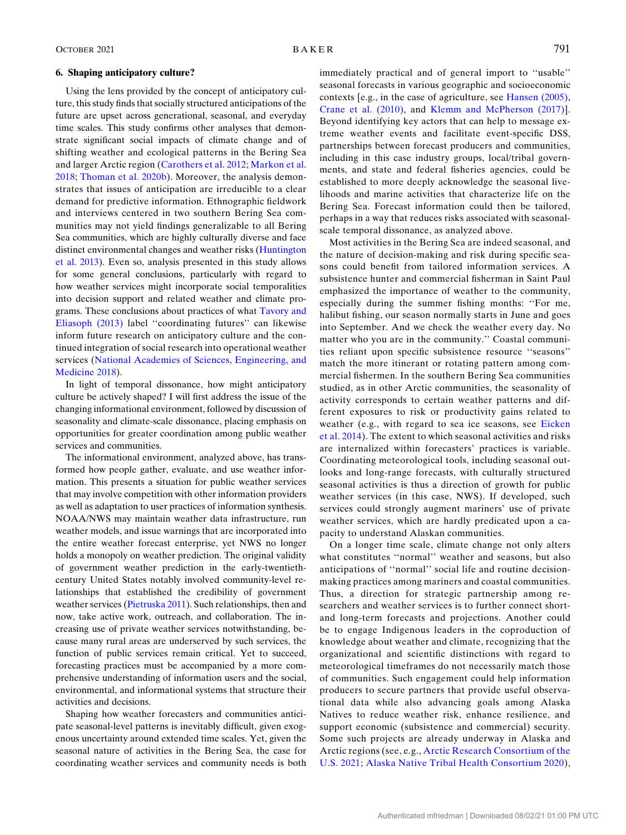#### 6. Shaping anticipatory culture?

Using the lens provided by the concept of anticipatory culture, this study finds that socially structured anticipations of the future are upset across generational, seasonal, and everyday time scales. This study confirms other analyses that demonstrate significant social impacts of climate change and of shifting weather and ecological patterns in the Bering Sea and larger Arctic region ([Carothers et al. 2012](#page-10-7); [Markon et al.](#page-11-1) [2018;](#page-11-1) [Thoman et al. 2020b\)](#page-12-3). Moreover, the analysis demonstrates that issues of anticipation are irreducible to a clear demand for predictive information. Ethnographic fieldwork and interviews centered in two southern Bering Sea communities may not yield findings generalizable to all Bering Sea communities, which are highly culturally diverse and face distinct environmental changes and weather risks ([Huntington](#page-10-10) [et al. 2013\)](#page-10-10). Even so, analysis presented in this study allows for some general conclusions, particularly with regard to how weather services might incorporate social temporalities into decision support and related weather and climate programs. These conclusions about practices of what [Tavory and](#page-12-16) [Eliasoph \(2013\)](#page-12-16) label ''coordinating futures'' can likewise inform future research on anticipatory culture and the continued integration of social research into operational weather services ([National Academies of Sciences, Engineering, and](#page-11-31) [Medicine 2018](#page-11-31)).

In light of temporal dissonance, how might anticipatory culture be actively shaped? I will first address the issue of the changing informational environment, followed by discussion of seasonality and climate-scale dissonance, placing emphasis on opportunities for greater coordination among public weather services and communities.

The informational environment, analyzed above, has transformed how people gather, evaluate, and use weather information. This presents a situation for public weather services that may involve competition with other information providers as well as adaptation to user practices of information synthesis. NOAA/NWS may maintain weather data infrastructure, run weather models, and issue warnings that are incorporated into the entire weather forecast enterprise, yet NWS no longer holds a monopoly on weather prediction. The original validity of government weather prediction in the early-twentiethcentury United States notably involved community-level relationships that established the credibility of government weather services [\(Pietruska 2011\)](#page-12-29). Such relationships, then and now, take active work, outreach, and collaboration. The increasing use of private weather services notwithstanding, because many rural areas are underserved by such services, the function of public services remain critical. Yet to succeed, forecasting practices must be accompanied by a more comprehensive understanding of information users and the social, environmental, and informational systems that structure their activities and decisions.

Shaping how weather forecasters and communities anticipate seasonal-level patterns is inevitably difficult, given exogenous uncertainty around extended time scales. Yet, given the seasonal nature of activities in the Bering Sea, the case for coordinating weather services and community needs is both immediately practical and of general import to ''usable'' seasonal forecasts in various geographic and socioeconomic contexts [e.g., in the case of agriculture, see [Hansen \(2005\)](#page-10-31), [Crane et al. \(2010\),](#page-10-32) and [Klemm and McPherson \(2017\)\]](#page-11-32). Beyond identifying key actors that can help to message extreme weather events and facilitate event-specific DSS, partnerships between forecast producers and communities, including in this case industry groups, local/tribal governments, and state and federal fisheries agencies, could be established to more deeply acknowledge the seasonal livelihoods and marine activities that characterize life on the Bering Sea. Forecast information could then be tailored, perhaps in a way that reduces risks associated with seasonalscale temporal dissonance, as analyzed above.

Most activities in the Bering Sea are indeed seasonal, and the nature of decision-making and risk during specific seasons could benefit from tailored information services. A subsistence hunter and commercial fisherman in Saint Paul emphasized the importance of weather to the community, especially during the summer fishing months: ''For me, halibut fishing, our season normally starts in June and goes into September. And we check the weather every day. No matter who you are in the community.'' Coastal communities reliant upon specific subsistence resource ''seasons'' match the more itinerant or rotating pattern among commercial fishermen. In the southern Bering Sea communities studied, as in other Arctic communities, the seasonality of activity corresponds to certain weather patterns and different exposures to risk or productivity gains related to weather (e.g., with regard to sea ice seasons, see [Eicken](#page-10-33) [et al. 2014\)](#page-10-33). The extent to which seasonal activities and risks are internalized within forecasters' practices is variable. Coordinating meteorological tools, including seasonal outlooks and long-range forecasts, with culturally structured seasonal activities is thus a direction of growth for public weather services (in this case, NWS). If developed, such services could strongly augment mariners' use of private weather services, which are hardly predicated upon a capacity to understand Alaskan communities.

On a longer time scale, climate change not only alters what constitutes ''normal'' weather and seasons, but also anticipations of ''normal'' social life and routine decisionmaking practices among mariners and coastal communities. Thus, a direction for strategic partnership among researchers and weather services is to further connect shortand long-term forecasts and projections. Another could be to engage Indigenous leaders in the coproduction of knowledge about weather and climate, recognizing that the organizational and scientific distinctions with regard to meteorological timeframes do not necessarily match those of communities. Such engagement could help information producers to secure partners that provide useful observational data while also advancing goals among Alaska Natives to reduce weather risk, enhance resilience, and support economic (subsistence and commercial) security. Some such projects are already underway in Alaska and Arctic regions (see, e.g., [Arctic Research Consortium of the](#page-9-17) [U.S. 2021;](#page-9-17) [Alaska Native Tribal Health Consortium 2020\)](#page-9-18),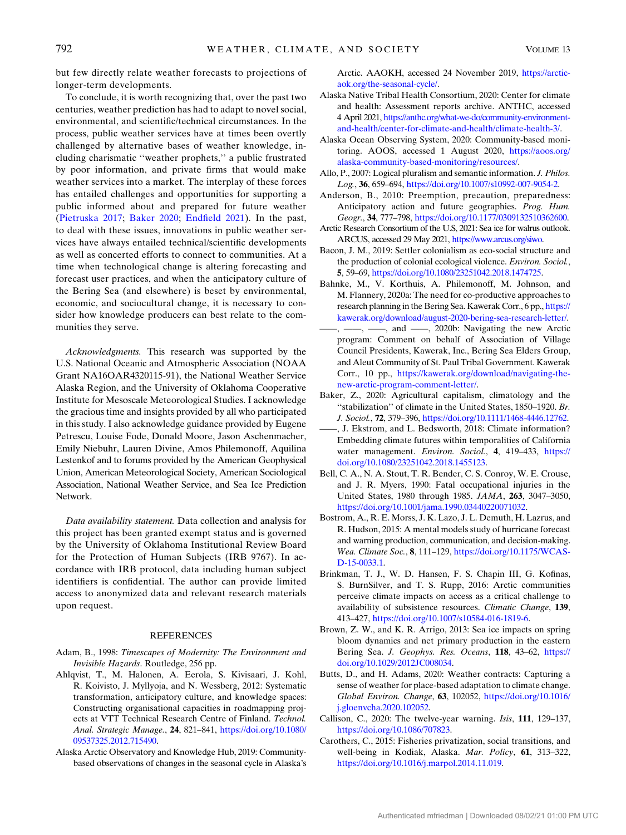but few directly relate weather forecasts to projections of longer-term developments.

To conclude, it is worth recognizing that, over the past two centuries, weather prediction has had to adapt to novel social, environmental, and scientific/technical circumstances. In the process, public weather services have at times been overtly challenged by alternative bases of weather knowledge, including charismatic ''weather prophets,'' a public frustrated by poor information, and private firms that would make weather services into a market. The interplay of these forces has entailed challenges and opportunities for supporting a public informed about and prepared for future weather ([Pietruska 2017;](#page-12-30) [Baker 2020;](#page-9-19) [Endfield 2021\)](#page-10-34). In the past, to deal with these issues, innovations in public weather services have always entailed technical/scientific developments as well as concerted efforts to connect to communities. At a time when technological change is altering forecasting and forecast user practices, and when the anticipatory culture of the Bering Sea (and elsewhere) is beset by environmental, economic, and sociocultural change, it is necessary to consider how knowledge producers can best relate to the communities they serve.

Acknowledgments. This research was supported by the U.S. National Oceanic and Atmospheric Association (NOAA Grant NA16OAR4320115-91), the National Weather Service Alaska Region, and the University of Oklahoma Cooperative Institute for Mesoscale Meteorological Studies. I acknowledge the gracious time and insights provided by all who participated in this study. I also acknowledge guidance provided by Eugene Petrescu, Louise Fode, Donald Moore, Jason Aschenmacher, Emily Niebuhr, Lauren Divine, Amos Philemonoff, Aquilina Lestenkof and to forums provided by the American Geophysical Union, American Meteorological Society, American Sociological Association, National Weather Service, and Sea Ice Prediction Network.

Data availability statement. Data collection and analysis for this project has been granted exempt status and is governed by the University of Oklahoma Institutional Review Board for the Protection of Human Subjects (IRB 9767). In accordance with IRB protocol, data including human subject identifiers is confidential. The author can provide limited access to anonymized data and relevant research materials upon request.

### **REFERENCES**

- <span id="page-9-8"></span>Adam, B., 1998: Timescapes of Modernity: The Environment and Invisible Hazards. Routledge, 256 pp.
- <span id="page-9-1"></span>Ahlqvist, T., M. Halonen, A. Eerola, S. Kivisaari, J. Kohl, R. Koivisto, J. Myllyoja, and N. Wessberg, 2012: Systematic transformation, anticipatory culture, and knowledge spaces: Constructing organisational capacities in roadmapping projects at VTT Technical Research Centre of Finland. Technol. Anal. Strategic Manage., 24, 821–841, [https://doi.org/10.1080/](https://doi.org/10.1080/09537325.2012.715490) [09537325.2012.715490.](https://doi.org/10.1080/09537325.2012.715490)
- <span id="page-9-4"></span>Alaska Arctic Observatory and Knowledge Hub, 2019: Communitybased observations of changes in the seasonal cycle in Alaska's

Arctic. AAOKH, accessed 24 November 2019, [https://arctic](https://arctic-aok.org/the-seasonal-cycle/)[aok.org/the-seasonal-cycle/](https://arctic-aok.org/the-seasonal-cycle/).

- <span id="page-9-18"></span>Alaska Native Tribal Health Consortium, 2020: Center for climate and health: Assessment reports archive. ANTHC, accessed 4 April 2021, [https://anthc.org/what-we-do/community-environment](https://anthc.org/what-we-do/community-environment-and-health/center-for-climate-and-health/climate-health-3/)[and-health/center-for-climate-and-health/climate-health-3/](https://anthc.org/what-we-do/community-environment-and-health/center-for-climate-and-health/climate-health-3/).
- <span id="page-9-5"></span>Alaska Ocean Observing System, 2020: Community-based monitoring. AOOS, accessed 1 August 2020, [https://aoos.org/](https://aoos.org/alaska-community-based-monitoring/resources/) [alaska-community-based-monitoring/resources/.](https://aoos.org/alaska-community-based-monitoring/resources/)
- <span id="page-9-16"></span>Allo, P., 2007: Logical pluralism and semantic information. J. Philos. Log., 36, 659–694, <https://doi.org/10.1007/s10992-007-9054-2>.
- <span id="page-9-9"></span>Anderson, B., 2010: Preemption, precaution, preparedness: Anticipatory action and future geographies. Prog. Hum. Geogr., 34, 777–798, [https://doi.org/10.1177/0309132510362600.](https://doi.org/10.1177/0309132510362600)
- <span id="page-9-17"></span>Arctic Research Consortium of the U.S, 2021: Sea ice for walrus outlook. ARCUS, accessed 29 May 2021, [https://www.arcus.org/siwo.](https://www.arcus.org/siwo)
- <span id="page-9-13"></span>Bacon, J. M., 2019: Settler colonialism as eco-social structure and the production of colonial ecological violence. Environ. Sociol., 5, 59–69, <https://doi.org/10.1080/23251042.2018.1474725>.
- <span id="page-9-6"></span>Bahnke, M., V. Korthuis, A. Philemonoff, M. Johnson, and M. Flannery, 2020a: The need for co-productive approaches to research planning in the Bering Sea. Kawerak Corr., 6 pp., [https://](https://kawerak.org/download/august-2020-bering-sea-research-letter/) [kawerak.org/download/august-2020-bering-sea-research-letter/](https://kawerak.org/download/august-2020-bering-sea-research-letter/).
- <span id="page-9-7"></span> $-$ ,  $-$ , and  $-$ , 2020b: Navigating the new Arctic program: Comment on behalf of Association of Village Council Presidents, Kawerak, Inc., Bering Sea Elders Group, and Aleut Community of St. Paul Tribal Government. Kawerak Corr., 10 pp., [https://kawerak.org/download/navigating-the](https://kawerak.org/download/navigating-the-new-arctic-program-comment-letter/)[new-arctic-program-comment-letter/.](https://kawerak.org/download/navigating-the-new-arctic-program-comment-letter/)
- <span id="page-9-19"></span>Baker, Z., 2020: Agricultural capitalism, climatology and the "stabilization" of climate in the United States, 1850–1920. Br. J. Sociol., 72, 379–396, <https://doi.org/10.1111/1468-4446.12762>.
- <span id="page-9-10"></span>——, J. Ekstrom, and L. Bedsworth, 2018: Climate information? Embedding climate futures within temporalities of California water management. Environ. Sociol., 4, 419–433, [https://](https://doi.org/10.1080/23251042.2018.1455123) [doi.org/10.1080/23251042.2018.1455123.](https://doi.org/10.1080/23251042.2018.1455123)
- <span id="page-9-2"></span>Bell, C. A., N. A. Stout, T. R. Bender, C. S. Conroy, W. E. Crouse, and J. R. Myers, 1990: Fatal occupational injuries in the United States, 1980 through 1985. JAMA, 263, 3047–3050, <https://doi.org/10.1001/jama.1990.03440220071032>.
- <span id="page-9-15"></span>Bostrom, A., R. E. Morss, J. K. Lazo, J. L. Demuth, H. Lazrus, and R. Hudson, 2015: A mental models study of hurricane forecast and warning production, communication, and decision-making. Wea. Climate Soc., 8, 111–129, [https://doi.org/10.1175/WCAS-](https://doi.org/10.1175/WCAS-D-15-0033.1)[D-15-0033.1](https://doi.org/10.1175/WCAS-D-15-0033.1).
- <span id="page-9-0"></span>Brinkman, T. J., W. D. Hansen, F. S. Chapin III, G. Kofinas, S. BurnSilver, and T. S. Rupp, 2016: Arctic communities perceive climate impacts on access as a critical challenge to availability of subsistence resources. Climatic Change, 139, 413–427, <https://doi.org/10.1007/s10584-016-1819-6>.
- <span id="page-9-14"></span>Brown, Z. W., and K. R. Arrigo, 2013: Sea ice impacts on spring bloom dynamics and net primary production in the eastern Bering Sea. J. Geophys. Res. Oceans, 118, 43–62, [https://](https://doi.org/10.1029/2012JC008034) [doi.org/10.1029/2012JC008034](https://doi.org/10.1029/2012JC008034).
- <span id="page-9-12"></span>Butts, D., and H. Adams, 2020: Weather contracts: Capturing a sense of weather for place-based adaptation to climate change. Global Environ. Change, 63, 102052, [https://doi.org/10.1016/](https://doi.org/10.1016/j.gloenvcha.2020.102052) [j.gloenvcha.2020.102052](https://doi.org/10.1016/j.gloenvcha.2020.102052).
- <span id="page-9-11"></span><span id="page-9-3"></span>Callison, C., 2020: The twelve-year warning. Isis, 111, 129–137, [https://doi.org/10.1086/707823.](https://doi.org/10.1086/707823)
- Carothers, C., 2015: Fisheries privatization, social transitions, and well-being in Kodiak, Alaska. Mar. Policy, 61, 313–322, <https://doi.org/10.1016/j.marpol.2014.11.019>.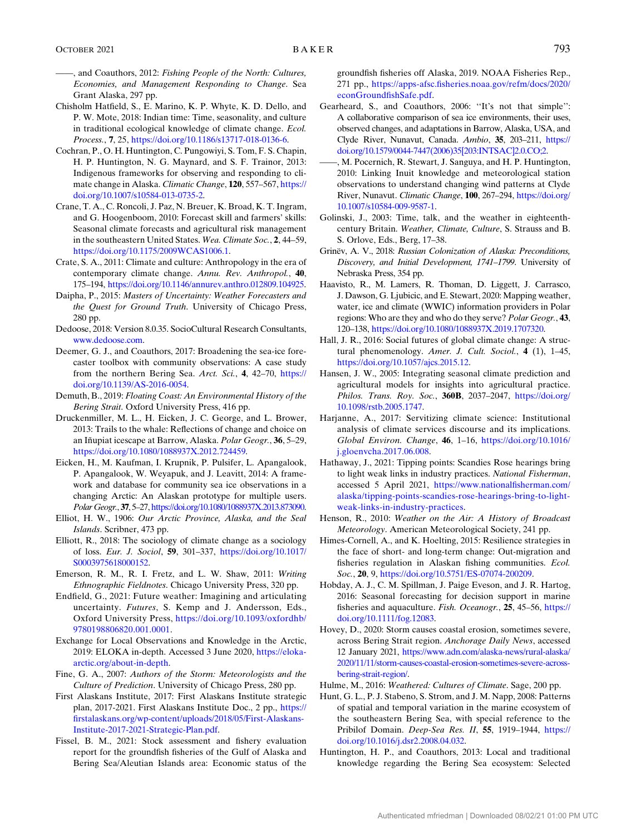- <span id="page-10-7"></span>and Coauthors, 2012: Fishing People of the North: Cultures, Economies, and Management Responding to Change. Sea Grant Alaska, 297 pp.
- <span id="page-10-18"></span>Chisholm Hatfield, S., E. Marino, K. P. Whyte, K. D. Dello, and P. W. Mote, 2018: Indian time: Time, seasonality, and culture in traditional ecological knowledge of climate change. Ecol. Process., 7, 25, [https://doi.org/10.1186/s13717-018-0136-6.](https://doi.org/10.1186/s13717-018-0136-6)
- <span id="page-10-9"></span>Cochran, P., O. H. Huntington, C. Pungowiyi, S. Tom, F. S. Chapin, H. P. Huntington, N. G. Maynard, and S. F. Trainor, 2013: Indigenous frameworks for observing and responding to climate change in Alaska. Climatic Change, 120, 557–567, [https://](https://doi.org/10.1007/s10584-013-0735-2) [doi.org/10.1007/s10584-013-0735-2.](https://doi.org/10.1007/s10584-013-0735-2)
- <span id="page-10-32"></span>Crane, T. A., C. Roncoli, J. Paz, N. Breuer, K. Broad, K. T. Ingram, and G. Hoogenboom, 2010: Forecast skill and farmers' skills: Seasonal climate forecasts and agricultural risk management in the southeastern United States. Wea. Climate Soc., 2, 44–59, <https://doi.org/10.1175/2009WCAS1006.1>.
- <span id="page-10-19"></span>Crate, S. A., 2011: Climate and culture: Anthropology in the era of contemporary climate change. Annu. Rev. Anthropol., 40, 175–194, <https://doi.org/10.1146/annurev.anthro.012809.104925>.
- <span id="page-10-15"></span>Daipha, P., 2015: Masters of Uncertainty: Weather Forecasters and the Quest for Ground Truth. University of Chicago Press, 280 pp.
- <span id="page-10-20"></span>Dedoose, 2018: Version 8.0.35. SocioCultural Research Consultants, [www.dedoose.com](http://www.dedoose.com).
- <span id="page-10-25"></span>Deemer, G. J., and Coauthors, 2017: Broadening the sea-ice forecaster toolbox with community observations: A case study from the northern Bering Sea. Arct. Sci., 4, 42–70, [https://](https://doi.org/10.1139/AS-2016-0054) [doi.org/10.1139/AS-2016-0054](https://doi.org/10.1139/AS-2016-0054).
- <span id="page-10-27"></span>Demuth, B., 2019: Floating Coast: An Environmental History of the Bering Strait. Oxford University Press, 416 pp.
- <span id="page-10-1"></span>Druckenmiller, M. L., H. Eicken, J. C. George, and L. Brower, 2013: Trails to the whale: Reflections of change and choice on an Iñupiat icescape at Barrow, Alaska. Polar Geogr., 36, 5–29, <https://doi.org/10.1080/1088937X.2012.724459>.
- <span id="page-10-33"></span>Eicken, H., M. Kaufman, I. Krupnik, P. Pulsifer, L. Apangalook, P. Apangalook, W. Weyapuk, and J. Leavitt, 2014: A framework and database for community sea ice observations in a changing Arctic: An Alaskan prototype for multiple users. Polar Geogr., 37, 5–27, [https://doi.org/10.1080/1088937X.2013.873090.](https://doi.org/10.1080/1088937X.2013.873090)
- <span id="page-10-23"></span>Elliot, H. W., 1906: Our Arctic Province, Alaska, and the Seal Islands. Scribner, 473 pp.
- <span id="page-10-17"></span>Elliott, R., 2018: The sociology of climate change as a sociology of loss. Eur. J. Sociol, 59, 301–337, [https://doi.org/10.1017/](https://doi.org/10.1017/S0003975618000152) [S0003975618000152](https://doi.org/10.1017/S0003975618000152).
- <span id="page-10-21"></span>Emerson, R. M., R. I. Fretz, and L. W. Shaw, 2011: Writing Ethnographic Fieldnotes. Chicago University Press, 320 pp.
- <span id="page-10-34"></span>Endfield, G., 2021: Future weather: Imagining and articulating uncertainty. Futures, S. Kemp and J. Andersson, Eds., Oxford University Press, [https://doi.org/10.1093/oxfordhb/](https://doi.org/10.1093/oxfordhb/9780198806820.001.0001) [9780198806820.001.0001](https://doi.org/10.1093/oxfordhb/9780198806820.001.0001).
- <span id="page-10-12"></span>Exchange for Local Observations and Knowledge in the Arctic, 2019: ELOKA in-depth. Accessed 3 June 2020, [https://eloka](https://eloka-arctic.org/about-in-depth)[arctic.org/about-in-depth.](https://eloka-arctic.org/about-in-depth)
- <span id="page-10-24"></span><span id="page-10-14"></span>Fine, G. A., 2007: Authors of the Storm: Meteorologists and the Culture of Prediction. University of Chicago Press, 280 pp.
- First Alaskans Institute, 2017: First Alaskans Institute strategic plan, 2017-2021. First Alaskans Institute Doc., 2 pp., [https://](https://firstalaskans.org/wp-content/uploads/2018/05/First-Alaskans-Institute-2017-2021-Strategic-Plan.pdf) [firstalaskans.org/wp-content/uploads/2018/05/First-Alaskans-](https://firstalaskans.org/wp-content/uploads/2018/05/First-Alaskans-Institute-2017-2021-Strategic-Plan.pdf)[Institute-2017-2021-Strategic-Plan.pdf](https://firstalaskans.org/wp-content/uploads/2018/05/First-Alaskans-Institute-2017-2021-Strategic-Plan.pdf).
- <span id="page-10-4"></span>Fissel, B. M., 2021: Stock assessment and fishery evaluation report for the groundfish fisheries of the Gulf of Alaska and Bering Sea/Aleutian Islands area: Economic status of the

groundfish fisheries off Alaska, 2019. NOAA Fisheries Rep., 271 pp., [https://apps-afsc.fisheries.noaa.gov/refm/docs/2020/](https://apps-afsc.fisheries.noaa.gov/refm/docs/2020/econGroundfishSafe.pdf) [econGroundfishSafe.pdf](https://apps-afsc.fisheries.noaa.gov/refm/docs/2020/econGroundfishSafe.pdf).

- <span id="page-10-0"></span>Gearheard, S., and Coauthors, 2006: ''It's not that simple'': A collaborative comparison of sea ice environments, their uses, observed changes, and adaptations in Barrow, Alaska, USA, and Clyde River, Nunavut, Canada. Ambio, 35, 203–211, [https://](https://doi.org/10.1579/0044-7447(2006)35[203:INTSAC]2.0.CO;2) [doi.org/10.1579/0044-7447\(2006\)35\[203:INTSAC\]2.0.CO;2.](https://doi.org/10.1579/0044-7447(2006)35[203:INTSAC]2.0.CO;2)
- <span id="page-10-11"></span>——, M. Pocernich, R. Stewart, J. Sanguya, and H. P. Huntington, 2010: Linking Inuit knowledge and meteorological station observations to understand changing wind patterns at Clyde River, Nunavut. Climatic Change, 100, 267–294, [https://doi.org/](https://doi.org/10.1007/s10584-009-9587-1) [10.1007/s10584-009-9587-1.](https://doi.org/10.1007/s10584-009-9587-1)
- <span id="page-10-28"></span>Golinski, J., 2003: Time, talk, and the weather in eighteenthcentury Britain. Weather, Climate, Culture, S. Strauss and B. S. Orlove, Eds., Berg, 17–38.
- <span id="page-10-22"></span>Grinëv, A. V., 2018: Russian Colonization of Alaska: Preconditions, Discovery, and Initial Development, 1741–1799. University of Nebraska Press, 354 pp.
- <span id="page-10-6"></span>Haavisto, R., M. Lamers, R. Thoman, D. Liggett, J. Carrasco, J. Dawson, G. Ljubicic, and E. Stewart, 2020: Mapping weather, water, ice and climate (WWIC) information providers in Polar regions: Who are they and who do they serve? Polar Geogr., 43, 120–138, <https://doi.org/10.1080/1088937X.2019.1707320>.
- <span id="page-10-13"></span>Hall, J. R., 2016: Social futures of global climate change: A structural phenomenology. Amer. J. Cult. Sociol., 4 (1), 1-45, <https://doi.org/10.1057/ajcs.2015.12>.
- <span id="page-10-31"></span>Hansen, J. W., 2005: Integrating seasonal climate prediction and agricultural models for insights into agricultural practice. Philos. Trans. Roy. Soc., 360B, 2037-2047, [https://doi.org/](https://doi.org/10.1098/rstb.2005.1747) [10.1098/rstb.2005.1747](https://doi.org/10.1098/rstb.2005.1747).
- <span id="page-10-2"></span>Harjanne, A., 2017: Servitizing climate science: Institutional analysis of climate services discourse and its implications. Global Environ. Change, 46, 1–16, [https://doi.org/10.1016/](https://doi.org/10.1016/j.gloenvcha.2017.06.008) [j.gloenvcha.2017.06.008.](https://doi.org/10.1016/j.gloenvcha.2017.06.008)
- <span id="page-10-30"></span>Hathaway, J., 2021: Tipping points: Scandies Rose hearings bring to light weak links in industry practices. National Fisherman, accessed 5 April 2021, [https://www.nationalfisherman.com/](https://www.nationalfisherman.com/alaska/tipping-points-scandies-rose-hearings-bring-to-light-weak-links-in-industry-practices) [alaska/tipping-points-scandies-rose-hearings-bring-to-light](https://www.nationalfisherman.com/alaska/tipping-points-scandies-rose-hearings-bring-to-light-weak-links-in-industry-practices)[weak-links-in-industry-practices.](https://www.nationalfisherman.com/alaska/tipping-points-scandies-rose-hearings-bring-to-light-weak-links-in-industry-practices)
- <span id="page-10-29"></span>Henson, R., 2010: Weather on the Air: A History of Broadcast Meteorology. American Meteorological Society, 241 pp.
- <span id="page-10-8"></span>Himes-Cornell, A., and K. Hoelting, 2015: Resilience strategies in the face of short- and long-term change: Out-migration and fisheries regulation in Alaskan fishing communities. Ecol. Soc., 20, 9, [https://doi.org/10.5751/ES-07074-200209.](https://doi.org/10.5751/ES-07074-200209)
- <span id="page-10-5"></span>Hobday, A. J., C. M. Spillman, J. Paige Eveson, and J. R. Hartog, 2016: Seasonal forecasting for decision support in marine fisheries and aquaculture. Fish. Oceanogr., 25, 45–56, [https://](https://doi.org/10.1111/fog.12083) [doi.org/10.1111/fog.12083.](https://doi.org/10.1111/fog.12083)
- <span id="page-10-3"></span>Hovey, D., 2020: Storm causes coastal erosion, sometimes severe, across Bering Strait region. Anchorage Daily News, accessed 12 January 2021, [https://www.adn.com/alaska-news/rural-alaska/](https://www.adn.com/alaska-news/rural-alaska/2020/11/11/storm-causes-coastal-erosion-sometimes-severe-across-bering-strait-region/) [2020/11/11/storm-causes-coastal-erosion-sometimes-severe-across](https://www.adn.com/alaska-news/rural-alaska/2020/11/11/storm-causes-coastal-erosion-sometimes-severe-across-bering-strait-region/)[bering-strait-region/.](https://www.adn.com/alaska-news/rural-alaska/2020/11/11/storm-causes-coastal-erosion-sometimes-severe-across-bering-strait-region/)
- <span id="page-10-26"></span><span id="page-10-16"></span>Hulme, M., 2016: Weathered: Cultures of Climate. Sage, 200 pp.
- Hunt, G. L., P. J. Stabeno, S. Strom, and J. M. Napp, 2008: Patterns of spatial and temporal variation in the marine ecosystem of the southeastern Bering Sea, with special reference to the Pribilof Domain. Deep-Sea Res. II, 55, 1919–1944, [https://](https://doi.org/10.1016/j.dsr2.2008.04.032) [doi.org/10.1016/j.dsr2.2008.04.032.](https://doi.org/10.1016/j.dsr2.2008.04.032)
- <span id="page-10-10"></span>Huntington, H. P., and Coauthors, 2013: Local and traditional knowledge regarding the Bering Sea ecosystem: Selected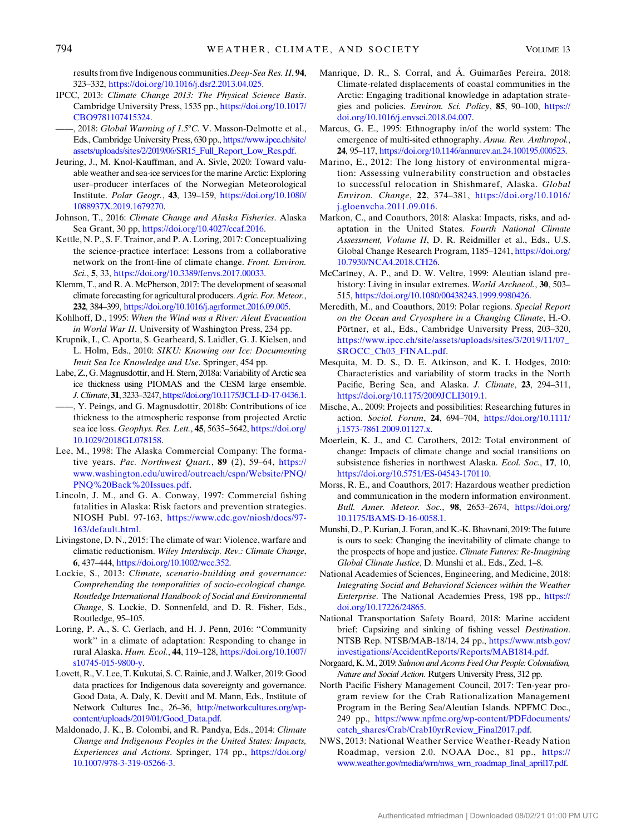results from five Indigenous communities.Deep-Sea Res. II, 94, 323–332, <https://doi.org/10.1016/j.dsr2.2013.04.025>.

- <span id="page-11-19"></span>IPCC, 2013: Climate Change 2013: The Physical Science Basis. Cambridge University Press, 1535 pp., [https://doi.org/10.1017/](https://doi.org/10.1017/CBO9781107415324) [CBO9781107415324](https://doi.org/10.1017/CBO9781107415324).
- <span id="page-11-2"></span>, 2018: Global Warming of 1.5°C. V. Masson-Delmotte et al., Eds., Cambridge University Press, 630 pp., [https://www.ipcc.ch/site/](https://www.ipcc.ch/site/assets/uploads/sites/2/2019/06/SR15_Full_Report_Low_Res.pdf) [assets/uploads/sites/2/2019/06/SR15\\_Full\\_Report\\_Low\\_Res.pdf](https://www.ipcc.ch/site/assets/uploads/sites/2/2019/06/SR15_Full_Report_Low_Res.pdf).
- <span id="page-11-5"></span>Jeuring, J., M. Knol-Kauffman, and A. Sivle, 2020: Toward valuable weather and sea-ice services for the marine Arctic: Exploring user–producer interfaces of the Norwegian Meteorological Institute. Polar Geogr., 43, 139–159, [https://doi.org/10.1080/](https://doi.org/10.1080/1088937X.2019.1679270) [1088937X.2019.1679270](https://doi.org/10.1080/1088937X.2019.1679270).
- <span id="page-11-27"></span>Johnson, T., 2016: Climate Change and Alaska Fisheries. Alaska Sea Grant, 30 pp, [https://doi.org/10.4027/ccaf.2016.](https://doi.org/10.4027/ccaf.2016)
- <span id="page-11-4"></span>Kettle, N. P., S. F. Trainor, and P. A. Loring, 2017: Conceptualizing the science-practice interface: Lessons from a collaborative network on the front-line of climate change. Front. Environ. Sci., 5, 33, <https://doi.org/10.3389/fenvs.2017.00033>.
- <span id="page-11-32"></span>Klemm, T., and R. A. McPherson, 2017: The development of seasonal climate forecasting for agricultural producers. Agric. For. Meteor., 232, 384–399, <https://doi.org/10.1016/j.agrformet.2016.09.005>.
- <span id="page-11-25"></span>Kohlhoff, D., 1995: When the Wind was a River: Aleut Evacuation in World War II. University of Washington Press, 234 pp.
- <span id="page-11-13"></span>Krupnik, I., C. Aporta, S. Gearheard, S. Laidler, G. J. Kielsen, and L. Holm, Eds., 2010: SIKU: Knowing our Ice: Documenting Inuit Sea Ice Knowledge and Use. Springer, 454 pp.
- <span id="page-11-29"></span>Labe, Z., G. Magnusdottir, and H. Stern, 2018a: Variability of Arctic sea ice thickness using PIOMAS and the CESM large ensemble. J. Climate, 31, 3233–3247, [https://doi.org/10.1175/JCLI-D-17-0436.1.](https://doi.org/10.1175/JCLI-D-17-0436.1)
- <span id="page-11-30"></span>——, Y. Peings, and G. Magnusdottir, 2018b: Contributions of ice thickness to the atmospheric response from projected Arctic sea ice loss. Geophys. Res. Lett., 45, 5635-5642, [https://doi.org/](https://doi.org/10.1029/2018GL078158) [10.1029/2018GL078158](https://doi.org/10.1029/2018GL078158).
- <span id="page-11-24"></span>Lee, M., 1998: The Alaska Commercial Company: The formative years. Pac. Northwest Quart., 89 (2), 59-64, [https://](https://www.washington.edu/uwired/outreach/cspn/Website/PNQ/PNQ%20Back%20Issues.pdf) [www.washington.edu/uwired/outreach/cspn/Website/PNQ/](https://www.washington.edu/uwired/outreach/cspn/Website/PNQ/PNQ%20Back%20Issues.pdf) [PNQ%20Back%20Issues.pdf.](https://www.washington.edu/uwired/outreach/cspn/Website/PNQ/PNQ%20Back%20Issues.pdf)
- <span id="page-11-7"></span>Lincoln, J. M., and G. A. Conway, 1997: Commercial fishing fatalities in Alaska: Risk factors and prevention strategies. NIOSH Publ. 97-163, [https://www.cdc.gov/niosh/docs/97-](https://www.cdc.gov/niosh/docs/97-163/default.html) [163/default.html.](https://www.cdc.gov/niosh/docs/97-163/default.html)
- <span id="page-11-18"></span>Livingstone, D. N., 2015: The climate of war: Violence, warfare and climatic reductionism. Wiley Interdiscip. Rev.: Climate Change, 6, 437–444, <https://doi.org/10.1002/wcc.352>.
- <span id="page-11-20"></span>Lockie, S., 2013: Climate, scenario-building and governance: Comprehending the temporalities of socio-ecological change. Routledge International Handbook of Social and Environmental Change, S. Lockie, D. Sonnenfeld, and D. R. Fisher, Eds., Routledge, 95–105.
- <span id="page-11-28"></span>Loring, P. A., S. C. Gerlach, and H. J. Penn, 2016: ''Community work'' in a climate of adaptation: Responding to change in rural Alaska. Hum. Ecol., 44, 119–128, [https://doi.org/10.1007/](https://doi.org/10.1007/s10745-015-9800-y) [s10745-015-9800-y.](https://doi.org/10.1007/s10745-015-9800-y)
- <span id="page-11-15"></span>Lovett, R., V. Lee, T. Kukutai, S. C. Rainie, and J.Walker, 2019: Good data practices for Indigenous data sovereignty and governance. Good Data, A. Daly, K. Devitt and M. Mann, Eds., Institute of Network Cultures Inc., 26–36, [http://networkcultures.org/wp](http://networkcultures.org/wp-content/uploads/2019/01/Good_Data.pdf)[content/uploads/2019/01/Good\\_Data.pdf.](http://networkcultures.org/wp-content/uploads/2019/01/Good_Data.pdf)
- <span id="page-11-14"></span>Maldonado, J. K., B. Colombi, and R. Pandya, Eds., 2014: Climate Change and Indigenous Peoples in the United States: Impacts, Experiences and Actions. Springer, 174 pp., [https://doi.org/](https://doi.org/10.1007/978-3-319-05266-3) [10.1007/978-3-319-05266-3.](https://doi.org/10.1007/978-3-319-05266-3)
- <span id="page-11-12"></span>Manrique, D. R., S. Corral, and A. Guimarães Pereira, 2018: Climate-related displacements of coastal communities in the Arctic: Engaging traditional knowledge in adaptation strategies and policies. Environ. Sci. Policy, 85, 90–100, [https://](https://doi.org/10.1016/j.envsci.2018.04.007) [doi.org/10.1016/j.envsci.2018.04.007](https://doi.org/10.1016/j.envsci.2018.04.007).
- <span id="page-11-22"></span>Marcus, G. E., 1995: Ethnography in/of the world system: The emergence of multi-sited ethnography. Annu. Rev. Anthropol., 24, 95–117, [https://doi.org/10.1146/annurev.an.24.100195.000523.](https://doi.org/10.1146/annurev.an.24.100195.000523)
- <span id="page-11-0"></span>Marino, E., 2012: The long history of environmental migration: Assessing vulnerability construction and obstacles to successful relocation in Shishmaref, Alaska. Global Environ. Change, 22, 374–381, [https://doi.org/10.1016/](https://doi.org/10.1016/j.gloenvcha.2011.09.016) [j.gloenvcha.2011.09.016](https://doi.org/10.1016/j.gloenvcha.2011.09.016).
- <span id="page-11-1"></span>Markon, C., and Coauthors, 2018: Alaska: Impacts, risks, and adaptation in the United States. Fourth National Climate Assessment, Volume II, D. R. Reidmiller et al., Eds., U.S. Global Change Research Program, 1185–1241, [https://doi.org/](https://doi.org/10.7930/NCA4.2018.CH26) [10.7930/NCA4.2018.CH26](https://doi.org/10.7930/NCA4.2018.CH26).
- <span id="page-11-23"></span>McCartney, A. P., and D. W. Veltre, 1999: Aleutian island prehistory: Living in insular extremes. World Archaeol., 30, 503– 515, <https://doi.org/10.1080/00438243.1999.9980426>.
- <span id="page-11-3"></span>Meredith, M., and Coauthors, 2019: Polar regions. Special Report on the Ocean and Cryosphere in a Changing Climate, H.-O. Pörtner, et al., Eds., Cambridge University Press, 203–320, [https://www.ipcc.ch/site/assets/uploads/sites/3/2019/11/07\\_](https://www.ipcc.ch/site/assets/uploads/sites/3/2019/11/07_SROCC_Ch03_FINAL.pdf) [SROCC\\_Ch03\\_FINAL.pdf.](https://www.ipcc.ch/site/assets/uploads/sites/3/2019/11/07_SROCC_Ch03_FINAL.pdf)
- <span id="page-11-10"></span>Mesquita, M. D. S., D. E. Atkinson, and K. I. Hodges, 2010: Characteristics and variability of storm tracks in the North Pacific, Bering Sea, and Alaska. J. Climate, 23, 294-311, <https://doi.org/10.1175/2009JCLI3019.1>.
- <span id="page-11-16"></span>Mische, A., 2009: Projects and possibilities: Researching futures in action. Sociol. Forum, 24, 694–704, [https://doi.org/10.1111/](https://doi.org/10.1111/j.1573-7861.2009.01127.x) [j.1573-7861.2009.01127.x.](https://doi.org/10.1111/j.1573-7861.2009.01127.x)
- <span id="page-11-26"></span>Moerlein, K. J., and C. Carothers, 2012: Total environment of change: Impacts of climate change and social transitions on subsistence fisheries in northwest Alaska. Ecol. Soc., 17, 10, [https://doi.org/10.5751/ES-04543-170110.](https://doi.org/10.5751/ES-04543-170110)
- <span id="page-11-6"></span>Morss, R. E., and Coauthors, 2017: Hazardous weather prediction and communication in the modern information environment. Bull. Amer. Meteor. Soc., 98, 2653–2674, [https://doi.org/](https://doi.org/10.1175/BAMS-D-16-0058.1) [10.1175/BAMS-D-16-0058.1](https://doi.org/10.1175/BAMS-D-16-0058.1).
- <span id="page-11-17"></span>Munshi, D., P. Kurian, J. Foran, and K.-K. Bhavnani, 2019: The future is ours to seek: Changing the inevitability of climate change to the prospects of hope and justice. Climate Futures: Re-Imagining Global Climate Justice, D. Munshi et al., Eds., Zed, 1–8.
- <span id="page-11-31"></span>National Academies of Sciences, Engineering, and Medicine, 2018: Integrating Social and Behavioral Sciences within the Weather Enterprise. The National Academies Press, 198 pp., [https://](https://doi.org/10.17226/24865) [doi.org/10.17226/24865.](https://doi.org/10.17226/24865)
- <span id="page-11-9"></span>National Transportation Safety Board, 2018: Marine accident brief: Capsizing and sinking of fishing vessel Destination. NTSB Rep. NTSB/MAB-18/14, 24 pp., [https://www.ntsb.gov/](https://www.ntsb.gov/investigations/AccidentReports/Reports/MAB1814.pdf) [investigations/AccidentReports/Reports/MAB1814.pdf](https://www.ntsb.gov/investigations/AccidentReports/Reports/MAB1814.pdf).
- <span id="page-11-21"></span><span id="page-11-8"></span>Norgaard, K. M., 2019: Salmon and Acorns Feed Our People: Colonialism, Nature and Social Action. Rutgers University Press, 312 pp.
- North Pacific Fishery Management Council, 2017: Ten-year program review for the Crab Rationalization Management Program in the Bering Sea/Aleutian Islands. NPFMC Doc., 249 pp., [https://www.npfmc.org/wp-content/PDFdocuments/](https://www.npfmc.org/wp-content/PDFdocuments/catch_shares/Crab/Crab10yrReview_Final2017.pdf) [catch\\_shares/Crab/Crab10yrReview\\_Final2017.pdf.](https://www.npfmc.org/wp-content/PDFdocuments/catch_shares/Crab/Crab10yrReview_Final2017.pdf)
- <span id="page-11-11"></span>NWS, 2013: National Weather Service Weather-Ready Nation Roadmap, version 2.0. NOAA Doc., 81 pp., [https://](https://www.weather.gov/media/wrn/nws_wrn_roadmap_final_april17.pdf) [www.weather.gov/media/wrn/nws\\_wrn\\_roadmap\\_final\\_april17.pdf.](https://www.weather.gov/media/wrn/nws_wrn_roadmap_final_april17.pdf)